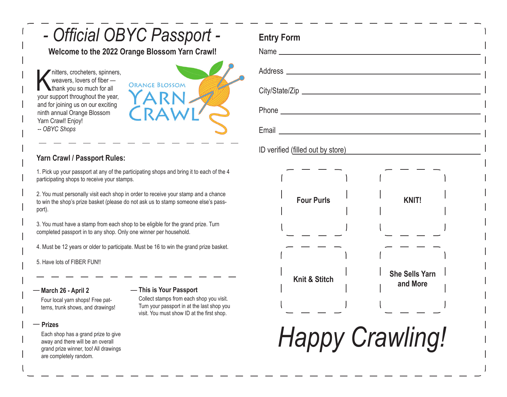# *- Official OBYC Passport -*

**Welcome to the 2022 Orange Blossom Yarn Crawl!**

weavers, crocheters, spinners,<br>weavers, lovers of fiber —<br>your support throughout the year, nitters, crocheters, spinners, weavers, lovers of fiber **thank you so much for all** and for joining us on our exciting ninth annual Orange Blossom Yarn Crawl! Enjoy! *-- OBYC Shops*



**Entry Form**

### **Yarn Crawl / Passport Rules:**

1. Pick up your passport at any of the participating shops and bring it to each of the 4 participating shops to receive your stamps.

2. You must personally visit each shop in order to receive your stamp and a chance to win the shop's prize basket (please do not ask us to stamp someone else's passport).

3. You must have a stamp from each shop to be eligible for the grand prize. Turn completed passport in to any shop. Only one winner per household.

4. Must be 12 years or older to participate. Must be 16 to win the grand prize basket.

5. Have lots of FIBER FUN!!

### **March 26 - April 2** —

Four local yarn shops! Free patterns, trunk shows, and drawings!

#### **Prizes** —

Each shop has a grand prize to give away and there will be an overall grand prize winner, too! All drawings are completely random.

## **This is Your Passport** —

Collect stamps from each shop you visit. Turn your passport in at the last shop you visit. You must show ID at the first shop.

| ID verified (filled out by store) |                                   |
|-----------------------------------|-----------------------------------|
| <b>Four Purls</b>                 | <b>KNIT!</b>                      |
| <b>Knit &amp; Stitch</b>          | <b>She Sells Yarn</b><br>and More |
|                                   |                                   |